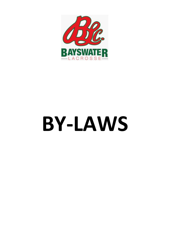

# **BY-LAWS**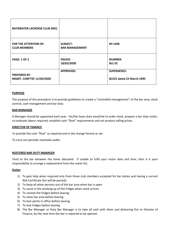| <b>BAYSWATER LACROSSE CLUB (INC)</b>                |                                          |                                                 |
|-----------------------------------------------------|------------------------------------------|-------------------------------------------------|
| <b>FOR THE ATTENTION OF:</b><br><b>CLUB MEMBERS</b> | <b>SUBJECT:</b><br><b>BAR MANAGEMENT</b> | <b>BY-LAW</b>                                   |
| <b>PAGE: 1 OF 2</b>                                 | <b>ISSUED:</b><br>18/03/2020             | <b>NUMBER:</b><br><b>BLC 01</b>                 |
| <b>PREPARED BY:</b><br>MGMT. COM'TEE 11/03/2020     | <b>APPROVED:</b>                         | <b>SUPERSEDES:</b><br>BLC01 dated 22 March 1995 |

The purpose of this procedure is to provide guidelines to create a "controlled management" of the bar area, stock control, cash management and bar duty.

## **BAR MANAGER**

A Manager should be appointed each year. His/Her basic duty would be to order stock, prepare a bar duty roster, co-ordinate labour required, establish cash "float" requirements and set product selling prices.

## **DIRECTOR OF FINANCE**

To provide the cash "float" as required and in the change format as set.

To carry out periodic stocktake audits

### **ROSTERED BAR DUTY MANAGER**

Tend to the bar between the times allocated. If unable to fulfil your roster date and time, then it is your responsibility to arrange a replacement from the roster list.

## **Duties**

- 1) To gain help when required only from those club members accepted for bar duties and having a current RSA Certificate (list will be posted).
- 2) To keep all other persons out of the bar area when bar is open
- 3) To assist in the stocking up of the fridges when stock arrives
- 4) To restock the fridges before leaving
- 5) To clean bar area before leaving
- 6) To lock spirits in office before leaving
- 7) To lock fridges before leaving
- 8) The Bar Manager or Duty Bar Manager is to take all cash with them and delivering this to Director of Finance, by the next time the bar is required to be opened.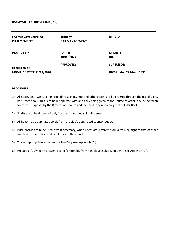| <b>BAYSWATER LACROSSE CLUB (INC)</b>                |                                          |                                                 |
|-----------------------------------------------------|------------------------------------------|-------------------------------------------------|
| <b>FOR THE ATTENTION OF:</b><br><b>CLUB MEMBERS</b> | <b>SUBJECT:</b><br><b>BAR MANAGEMENT</b> | <b>BY-LAW</b>                                   |
| <b>PAGE: 2 OF 2</b>                                 | <b>ISSUED:</b><br>18/03/2020             | <b>NUMBER:</b><br><b>BLC 01</b>                 |
| <b>PREPARED BY:</b><br>MGMT. COM'TEE 13/03/2020     | <b>APPROVED:</b>                         | <b>SUPERSEDES:</b><br>BLC01 dated 22 March 1995 |

## **PROCEDURES**

- 1) All stock, beer, wine, spirits, cool drinks, chips, nuts and other stock is to be ordered through the use of B.L.C. Bar Order book. This is to be in triplicate with one copy being given to the source of order, one being taken for record purposes by the Director of Finance and the third copy remaining in the Order Book.
- 2) Spirits are to be dispensed only from wall mounted spirit dispenser.
- 3) All liquor to be purchased solely from the club's designated sponsor outlet.
- 4) Price boards are to be used (two if necessary) when prices are different from a training night to that of other functions, ie Saturdays and first Friday of the month.
- 5) To seek appropriate volunteer for Bay Duty (see Appendix 'A').
- 6) Prepare a "Duty Bar Manager" Roster (preferably from non-playing Club Members see Appendix 'B').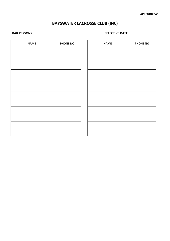# **BAYSWATER LACROSSE CLUB (INC)**

**BAR PERSONS EFFECTIVE DATE: ……………………………**

| <b>NAME</b> | <b>PHONE NO</b> | <b>NAME</b> | <b>PHONE NO</b> |
|-------------|-----------------|-------------|-----------------|
|             |                 |             |                 |
|             |                 |             |                 |
|             |                 |             |                 |
|             |                 |             |                 |
|             |                 |             |                 |
|             |                 |             |                 |
|             |                 |             |                 |
|             |                 |             |                 |
|             |                 |             |                 |
|             |                 |             |                 |
|             |                 |             |                 |
|             |                 |             |                 |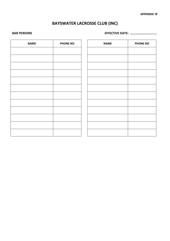# **BAYSWATER LACROSSE CLUB (INC)**

**BAR PERSONS EFFECTIVE DATE: ……………………………**

| <b>NAME</b> | <b>PHONE NO</b> | <b>NAME</b> | <b>PHONE NO</b> |
|-------------|-----------------|-------------|-----------------|
|             |                 |             |                 |
|             |                 |             |                 |
|             |                 |             |                 |
|             |                 |             |                 |
|             |                 |             |                 |
|             |                 |             |                 |
|             |                 |             |                 |
|             |                 |             |                 |
|             |                 |             |                 |
|             |                 |             |                 |
|             |                 |             |                 |
|             |                 |             |                 |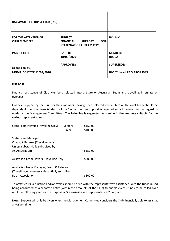| <b>BAYSWATER LACROSSE CLUB (INC)</b>                |                                                                                                  |                                                         |
|-----------------------------------------------------|--------------------------------------------------------------------------------------------------|---------------------------------------------------------|
| <b>FOR THE ATTENTION OF:</b><br><b>CLUB MEMBERS</b> | <b>SUBJECT:</b><br><b>FINANCIAL</b><br><b>SUPPORT</b><br><b>FOR</b><br>STATE/NATIONAL TEAM REPS. | <b>BY-LAW</b>                                           |
| <b>PAGE: 1 OF 1</b>                                 | <b>ISSUED:</b><br>18/03/2020                                                                     | <b>NUMBER:</b><br><b>BLC 02</b>                         |
| <b>PREPARED BY:</b><br>MGMT. COM'TEE 11/03/2020     | <b>APPROVED:</b>                                                                                 | <b>SUPERSEDES:</b><br><b>BLC 02 dared 22 MARCH 1995</b> |

Financial assistance of Club Members selected into a State or Australian Team and travelling interstate or overseas.

Financial support by the Club for their members having been selected into a State or National Team should be dependent upon the financial status of the Club at the time support is required and all decisions in that regard by made by the Management Committee. **The following is suggested as a guide in the amounts suitable for the various representatives:**

| State Team Players (Travelling Only)                                                           | Seniors<br><b>Juniors</b> | \$150.00<br>\$100.00 |
|------------------------------------------------------------------------------------------------|---------------------------|----------------------|
| State Team Manager,<br>Coach, & Referee (Travelling only<br>Unless substantially subsidised by |                           |                      |
| An Association)                                                                                |                           | \$150.00             |
| Australian Team Players (Travelling Only)                                                      |                           | \$300.00             |
| Australian Team Manager, Coach & Referee<br>(Travelling only unless substantially subsidised   |                           |                      |
| By an Association)                                                                             |                           | 5300.00              |

To offset costs, a function and/or raffles should be run with the representative's assistance, with the funds raised being accounted as a separate entry (within the accounts of the Club) to enable excess funds to be rolled over until the following year for the purpose of State/Australian Representatives'' Support.

**Note**: Support will only be given when the Management Committee considers the Club financially able to assist at any given time.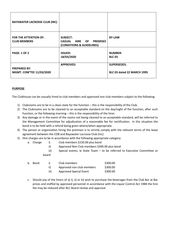| <b>BAYSWATER LACROSSE CLUB (INC)</b>                |                                                                         |                                                         |
|-----------------------------------------------------|-------------------------------------------------------------------------|---------------------------------------------------------|
| <b>FOR THE ATTENTION OF:</b><br><b>CLUB MEMBERS</b> | <b>SUBJECT:</b><br>CASUAL HIRE OF PREMISES<br>(CONDITIONS & GUIDELINES) | <b>BY-LAW</b>                                           |
| <b>PAGE: 1 OF 2</b>                                 | <b>ISSUED:</b><br>18/03/2020                                            | <b>NUMBER:</b><br><b>BLC 03</b>                         |
| <b>PREPARED BY:</b><br>MGMT. COM'TEE 11/03/2020     | <b>APPROVED:</b>                                                        | <b>SUPERSEDES:</b><br><b>BLC 03 dated 22 MARCH 1995</b> |

b. Bond

The Clubhouse can be casually hired to club members and approved non club members subject to the following:

- 1) Clubrooms are to be in a clean state for the function this is the responsibility of the Club.
- 2) The Clubrooms are to be cleaned to an acceptable standard on the day/night of the function, after such function, or the following morning – this is the responsibility of the hirer.
- 3) Any damage or in the event of the rooms not being cleaned to an acceptable standard, will be referred to the Management Committee for adjudication of a reasonable fee for rectification. In this situation the bond is to be held with a refund being given where/when appropriate.
- 4) The person or organisation hiring the premises is to strictly comply with the relevant terms of the lease agreement between the COB and Bayswater Lacrosse Club (Inc)
- 5) Hire charges are to be in accordance with the following appropriate category:
	- a. Charge i) Club members \$150.00 plus bond
		- ii) Approved Non Club members \$300.00 plus bond
		- iii) Special events, ie State Team to be referred to Executive Committee or board

|      | Club members                  | \$300.00 |
|------|-------------------------------|----------|
| ii)  | Approved non club members     | \$300.00 |
| iii) | <b>Approved Special Event</b> | \$300.00 |

c. Should any of the hirers of a) i), ii) or iii) wish to purchase the beverages from the Club Bar at Bar prices and staffed by approved personnel in accordance with the Liquor Control Act 1988 the hire fee may be reduced after BLC Board review and approval.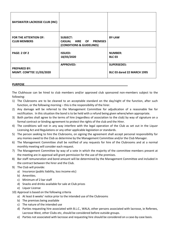| <b>BAYSWATER LACROSSE CLUB (INC)</b>                |                                                                         |                                                         |
|-----------------------------------------------------|-------------------------------------------------------------------------|---------------------------------------------------------|
| <b>FOR THE ATTENTION OF:</b><br><b>CLUB MEMBERS</b> | <b>SUBJECT:</b><br>CASUAL HIRE OF PREMISES<br>(CONDITIONS & GUIDELINES) | <b>BY-LAW</b>                                           |
| <b>PAGE: 2 OF 2</b>                                 | <b>ISSUED:</b><br>18/03/2020                                            | <b>NUMBER:</b><br><b>BLC 03</b>                         |
| <b>PREPARED BY:</b><br>MGMT. COM'TEE 11/03/2020     | <b>APPROVED:</b>                                                        | <b>SUPERSEDES:</b><br><b>BLC 03 dared 22 MARCH 1995</b> |

The Clubhouse can be hired to club members and/or approved club sponsored non-members subject to the following:

- 1) The Clubrooms are to be cleaned to an acceptable standard on the day/night of the function, after such function, or the following morning – this is the responsibility of the hirer.
- 2) Any damage will be referred to the Management Committee for adjudication of a reasonable fee for rectification. In this situation the bond is to be held with a refund being given where/when appropriate.
- 3) Both parties shall agree to the terms of hire (regardless of association to the club) by way of signature on a formal contract or binding agreement to protect the rights of the club and the Hirer.
- 4) The conditions will not in any way interfere with the legal operation of the Club as set out in the Liquor Licensing Act and Regulations or any other applicable legislation or standards.
- 5) The person seeking to hire the Clubrooms, on signing the agreement shall accept personal responsibility for any monies owed to the Club as determine by the Management Committee and/or the Club Manager.
- 6) The Management Committee shall be notified of any requests for hire of the Clubrooms and at a normal monthly meeting will consider each request.
- 7) The Management Committee by way of a vote in which the majority of the committee members present at the meeting are in approval will grant permission for the use of the premises.
- 8) Bar staff remuneration and bond amount will be determined by the Management Committee and included in the contract between the hirer and the Club.
- 9) The Club will provide:
	- a) Insurance (public liability, loss income etc)
	- b) Amenities.
	- c) Minimum of 2 bar staff
	- d) Snacks and drinks available for sale at Club prices
	- e) Liquor License
- 10) Approval is based on the following criteria
	- a) At least 6 weeks' notice prior to the intended use of the Clubrooms
	- b) The premises being available
	- c) The nature of the intended use
	- d) Parties requesting hire associated with B.L.C., WALA, other persons associated with lacrosse, ie Referees, Lacrosse West, other Clubs etc, should be considered before outside groups.
	- e) Parties not associated with lacrosse and requesting hire should be considered on a case-by-case basis.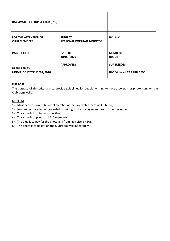| <b>BAYSWATER LACROSSE CLUB (INC)</b>                |                                              |                                                         |
|-----------------------------------------------------|----------------------------------------------|---------------------------------------------------------|
| <b>FOR THE ATTENTION OF:</b><br><b>CLUB MEMBERS</b> | <b>SUBJECT:</b><br>PERSONAL PORTRAITS/PHOTOS | <b>BY-LAW</b>                                           |
| <b>PAGE: 1 OF 1</b>                                 | <b>ISSUED:</b><br>18/03/2020                 | <b>NUMBER:</b><br><b>BLC 04</b>                         |
| <b>PREPARED BY:</b><br>MGMT. COM'TEE 11/03/2020     | <b>APPROVED:</b>                             | <b>SUPERSEDES:</b><br><b>BLC 04 dared 17 APRIL 1996</b> |

The purpose of this criteria is to provide guidelines for people wishing to have a portrait or photo hung on the Clubroom walls.

## **CRITERIA**

- 1) Must been a current financial member of the Bayswater Lacrosse Club (Inc).
- 2) Nominations are to be forwarded in writing to the management board for endorsement.
- 3) This criteria is to be retrospective.
- 4) This criteria applies to all BLC members.
- 5) The Club is to pay for the photo and framing (seize 8 x 10).
- 6) The photo is to be left on the Clubroom wall indefinitely.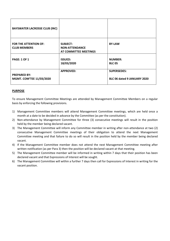| <b>BAYSWATER LACROSSE CLUB (INC)</b>                |                                                                   |                                                   |
|-----------------------------------------------------|-------------------------------------------------------------------|---------------------------------------------------|
| <b>FOR THE ATTENTION OF:</b><br><b>CLUB MEMBERS</b> | <b>SUBJECT:</b><br><b>NON-ATTENDANCE</b><br>AT COMMITTEE MEETINGS | <b>BY-LAW</b>                                     |
| <b>PAGE: 1 OF 1</b>                                 | <b>ISSUED:</b><br>18/03/2020                                      | <b>NUMBER:</b><br><b>BLC 05</b>                   |
| <b>PREPARED BY:</b><br>MGMT. COM'TEE 11/03/2020     | <b>APPROVED:</b>                                                  | <b>SUPERSEDES:</b><br>BLC 06 dated 9 JANUARY 2020 |

To ensure Management Committee Meetings are attended by Management Committee Members on a regular basis by enforcing the following provisions.

- 1) Management Committee members will attend Management Committee meetings, which are held once a month at a date to be decided in advance by the Committee (as per the constitution).
- 2) Non-attendance by Management Committee for three (3) consecutive meetings will result in the position held by the member being declared vacant.
- 3) The Management Committee will inform any Committee member in writing after non-attendance at two (2) consecutive Management Committee meetings of their obligation to attend the next Management Committee meeting and that failure to do so will result in the position held by the member being declared vacant.
- 4) If the Management Committee member does not attend the next Management Committee meeting after written notification (as per Para 3) then the position will be declared vacant at that meeting.
- 5) The Management Committee member will be informed in writing within 7 days that their position has been declared vacant and that Expressions of Interest will be sought.
- 6) The Management Committee will within a further 7 days then call for Expressions of Interest in writing for the vacant position.